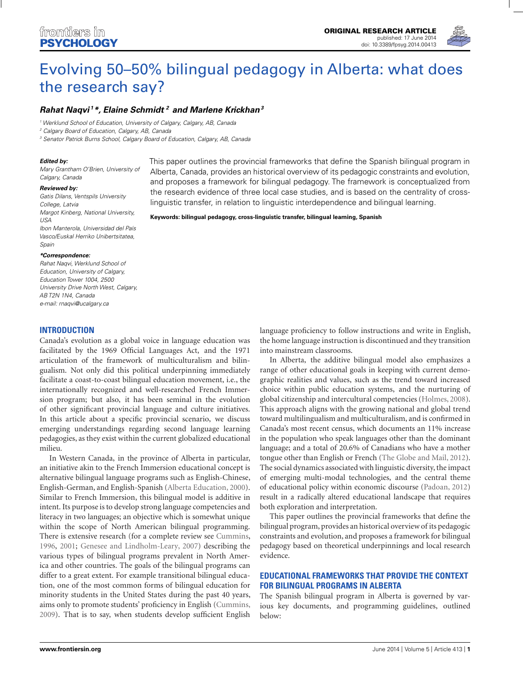

# [Evolving 50–50% bilingual pedagogy in Alberta: what does](http://www.frontiersin.org/Journal/10.3389/fpsyg.2014.00413/abstract) the research say?

# *[Rahat Naqvi](http://community.frontiersin.org/people/u/78387) 1\*, [Elaine Schmidt](http://community.frontiersin.org/people/u/154956) <sup>2</sup> and [Marlene Krickhan](http://community.frontiersin.org/people/u/156280)3*

<sup>1</sup> Werklund School of Education, University of Calgary, Calgary, AB, Canada

<sup>2</sup> Calgary Board of Education, Calgary, AB, Canada

<sup>3</sup> Senator Patrick Burns School, Calgary Board of Education, Calgary, AB, Canada

#### *Edited by:*

Mary Grantham O'Brien, University of Calgary, Canada

#### *Reviewed by:*

Gatis Dilans, Ventspils University College, Latvia Margot Kinberg, National University, USA Ibon Manterola, Universidad del País Vasco/Euskal Herriko Unibertsitatea, Spain

#### *\*Correspondence:*

Rahat Naqvi, Werklund School of Education, University of Calgary, Education Tower 1004, 2500 University Drive North West, Calgary, AB T2N 1N4, Canada e-mail: [rnaqvi@ucalgary.ca](mailto:rnaqvi@ucalgary.ca)

**INTRODUCTION**

Canada's evolution as a global voice in language education was facilitated by the 1969 Official Languages Act, and the 1971 articulation of the framework of multiculturalism and bilingualism. Not only did this political underpinning immediately facilitate a coast-to-coast bilingual education movement, i.e., the internationally recognized and well-researched French Immersion program; but also, it has been seminal in the evolution of other significant provincial language and culture initiatives. In this article about a specific provincial scenario, we discuss emerging understandings regarding second language learning pedagogies, as they exist within the current globalized educational milieu.

In Western Canada, in the province of Alberta in particular, an initiative akin to the French Immersion educational concept is alternative bilingual language programs such as English-Chinese, English-German, and English-Spanish [\(Alberta Education](#page-6-0), [2000](#page-6-0)). Similar to French Immersion, this bilingual model is additive in intent. Its purpose is to develop strong language competencies and literacy in two languages; an objective which is somewhat unique within the scope of North American bilingual programming. There is extensive research (for a complete review see [Cummins,](#page-6-0) [1996,](#page-6-0) [2001](#page-6-0); [Genesee and Lindholm-Leary](#page-7-0), [2007\)](#page-7-0) describing the various types of bilingual programs prevalent in North America and other countries. The goals of the bilingual programs can differ to a great extent. For example transitional bilingual education, one of the most common forms of bilingual education for minority students in the United States during the past 40 years, aims only to promote students' proficiency in English [\(Cummins](#page-6-0), [2009\)](#page-6-0). That is to say, when students develop sufficient English

This paper outlines the provincial frameworks that define the Spanish bilingual program in Alberta, Canada, provides an historical overview of its pedagogic constraints and evolution, and proposes a framework for bilingual pedagogy. The framework is conceptualized from the research evidence of three local case studies, and is based on the centrality of crosslinguistic transfer, in relation to linguistic interdependence and bilingual learning.

**Keywords: bilingual pedagogy, cross-linguistic transfer, bilingual learning, Spanish**

language proficiency to follow instructions and write in English, the home language instruction is discontinued and they transition into mainstream classrooms.

In Alberta, the additive bilingual model also emphasizes a range of other educational goals in keeping with current demographic realities and values, such as the trend toward increased choice within public education systems, and the nurturing of global citizenship and intercultural competencies [\(Holmes](#page-7-0), [2008](#page-7-0)). This approach aligns with the growing national and global trend toward multilingualism and multiculturalism, and is confirmed in Canada's most recent census, which documents an 11% increase in the population who speak languages other than the dominant language; and a total of 20.6% of Canadians who have a mother tongue other than English or French [\(The Globe and Mail, 2012](#page-7-0)). The social dynamics associated with linguistic diversity, the impact of emerging multi-modal technologies, and the central theme of educational policy within economic discourse [\(Padoan, 2012](#page-7-0)) result in a radically altered educational landscape that requires both exploration and interpretation.

This paper outlines the provincial frameworks that define the bilingual program, provides an historical overview of its pedagogic constraints and evolution, and proposes a framework for bilingual pedagogy based on theoretical underpinnings and local research evidence.

# **EDUCATIONAL FRAMEWORKS THAT PROVIDE THE CONTEXT FOR BILINGUAL PROGRAMS IN ALBERTA**

The Spanish bilingual program in Alberta is governed by various key documents, and programming guidelines, outlined below: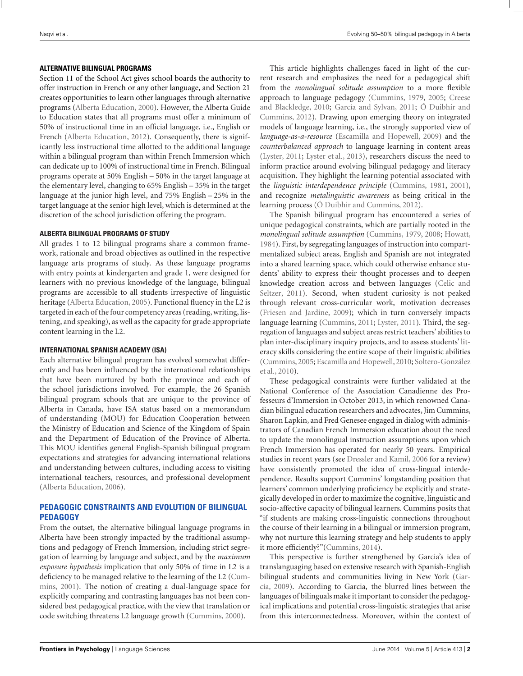### **ALTERNATIVE BILINGUAL PROGRAMS**

Section 11 of the School Act gives school boards the authority to offer instruction in French or any other language, and Section 21 creates opportunities to learn other languages through alternative programs [\(Alberta Education, 2000\)](#page-6-0). However, the Alberta Guide to Education states that all programs must offer a minimum of 50% of instructional time in an official language, i.e., English or French [\(Alberta Education, 2012\)](#page-6-0). Consequently, there is significantly less instructional time allotted to the additional language within a bilingual program than within French Immersion which can dedicate up to 100% of instructional time in French. Bilingual programs operate at 50% English – 50% in the target language at the elementary level, changing to 65% English – 35% in the target language at the junior high level, and 75% English – 25% in the target language at the senior high level, which is determined at the discretion of the school jurisdiction offering the program.

#### **ALBERTA BILINGUAL PROGRAMS OF STUDY**

All grades 1 to 12 bilingual programs share a common framework, rationale and broad objectives as outlined in the respective language arts programs of study. As these language programs with entry points at kindergarten and grade 1, were designed for learners with no previous knowledge of the language, bilingual programs are accessible to all students irrespective of linguistic heritage [\(Alberta Education, 2005\)](#page-6-0). Functional fluency in the L2 is targeted in each of the four competency areas (reading, writing, listening, and speaking), as well as the capacity for grade appropriate content learning in the L2.

#### **INTERNATIONAL SPANISH ACADEMY (ISA)**

Each alternative bilingual program has evolved somewhat differently and has been influenced by the international relationships that have been nurtured by both the province and each of the school jurisdictions involved. For example, the 26 Spanish bilingual program schools that are unique to the province of Alberta in Canada, have ISA status based on a memorandum of understanding (MOU) for Education Cooperation between the Ministry of Education and Science of the Kingdom of Spain and the Department of Education of the Province of Alberta. This MOU identifies general English-Spanish bilingual program expectations and strategies for advancing international relations and understanding between cultures, including access to visiting international teachers, resources, and professional development [\(Alberta Education, 2006](#page-6-0)).

# **PEDAGOGIC CONSTRAINTS AND EVOLUTION OF BILINGUAL PEDAGOGY**

From the outset, the alternative bilingual language programs in Alberta have been strongly impacted by the traditional assumptions and pedagogy of French Immersion, including strict segregation of learning by language and subject, and by the *maximum exposure hypothesis* implication that only 50% of time in L2 is a defic[iency](#page-6-0) [to](#page-6-0) [be](#page-6-0) [managed](#page-6-0) [relative](#page-6-0) [to](#page-6-0) [the](#page-6-0) [learning](#page-6-0) [of](#page-6-0) [the](#page-6-0) [L2](#page-6-0) [\(](#page-6-0)Cummins, [2001](#page-6-0)). The notion of creating a dual-language space for explicitly comparing and contrasting languages has not been considered best pedagogical practice, with the view that translation or code switching threatens L2 language growth [\(Cummins](#page-6-0), [2000\)](#page-6-0).

This article highlights challenges faced in light of the current research and emphasizes the need for a pedagogical shift from the *monolingual solitude assumption* to a more flexible approach to la[nguage pedagogy \(Cummins, 1979,](#page-6-0) [2005;](#page-6-0) Creese and Blackledge, [2010;](#page-6-0) [García and Sylvan, 2011;](#page-7-0) Ó Duibhir and Cummins, [2012](#page-7-0)). Drawing upon emerging theory on integrated models of language learning, i.e., the strongly supported view of *language-as-a-resource* [\(Escamilla and Hopewell, 2009\)](#page-6-0) and the *counterbalanced approach* to language learning in content areas [\(Lyster](#page-7-0), [2011](#page-7-0); [Lyster et al.](#page-7-0), [2013](#page-7-0)), researchers discuss the need to inform practice around evolving bilingual pedagogy and literacy acquisition. They highlight the learning potential associated with the *linguistic interdependence principle* [\(Cummins, 1981,](#page-6-0) [2001](#page-6-0)), and recognize *metalinguistic awareness* as being critical in the learning process [\(Ó Duibhir and Cummins](#page-7-0), [2012\)](#page-7-0).

The Spanish bilingual program has encountered a series of unique pedagogical constraints, which are partially rooted in the *monolingual solitude assumption* [\(Cummins](#page-6-0), [1979,](#page-6-0) [2008;](#page-6-0) [Howatt,](#page-7-0) [1984](#page-7-0)). First, by segregating languages of instruction into compartmentalized subject areas, English and Spanish are not integrated into a shared learning space, which could otherwise enhance students' ability to express their thought processes and to deepen knowl[edge creation across and between languages \(](#page-6-0)Celic and Seltzer, [2011](#page-6-0)). Second, when student curiosity is not peaked through relevant cross-curricular work, motivation decreases [\(Friesen and Jardine](#page-7-0), [2009](#page-7-0)); which in turn conversely impacts language learning [\(Cummins](#page-6-0), [2011;](#page-6-0) [Lyster, 2011](#page-7-0)). Third, the segregation of languages and subject areas restrict teachers' abilities to plan inter-disciplinary inquiry projects, and to assess students' literacy skills considering the entire scope of their linguistic abilities [\(Cummins, 2005](#page-6-0); [Escamilla and Hopewell](#page-6-0)[,](#page-7-0) [2010](#page-6-0)[;](#page-7-0) Soltero-González et al., [2010\)](#page-7-0).

These pedagogical constraints were further validated at the National Conference of the Association Canadienne des Professeurs d'Immersion in October 2013, in which renowned Canadian bilingual education researchers and advocates, Jim Cummins, Sharon Lapkin, and Fred Genesee engaged in dialog with administrators of Canadian French Immersion education about the need to update the monolingual instruction assumptions upon which French Immersion has operated for nearly 50 years. Empirical studies in recent years (see [Dressler and Kamil, 2006](#page-6-0) for a review) have consistently promoted the idea of cross-lingual interdependence. Results support Cummins' longstanding position that learners' common underlying proficiency be explicitly and strategically developed in order to maximize the cognitive, linguistic and socio-affective capacity of bilingual learners. Cummins posits that "if students are making cross-linguistic connections throughout the course of their learning in a bilingual or immersion program, why not nurture this learning strategy and help students to apply it more efficiently?"[\(Cummins, 2014](#page-6-0)).

This perspective is further strengthened by Garcia's idea of translanguaging based on extensive research with Spanish-English bil[ingual](#page-7-0) [students](#page-7-0) [and](#page-7-0) [communities](#page-7-0) [living](#page-7-0) [in](#page-7-0) [New](#page-7-0) [York](#page-7-0) [\(](#page-7-0)García, [2009\)](#page-7-0). According to Garcia, the blurred lines between the languages of bilinguals make it important to consider the pedagogical implications and potential cross-linguistic strategies that arise from this interconnectedness. Moreover, within the context of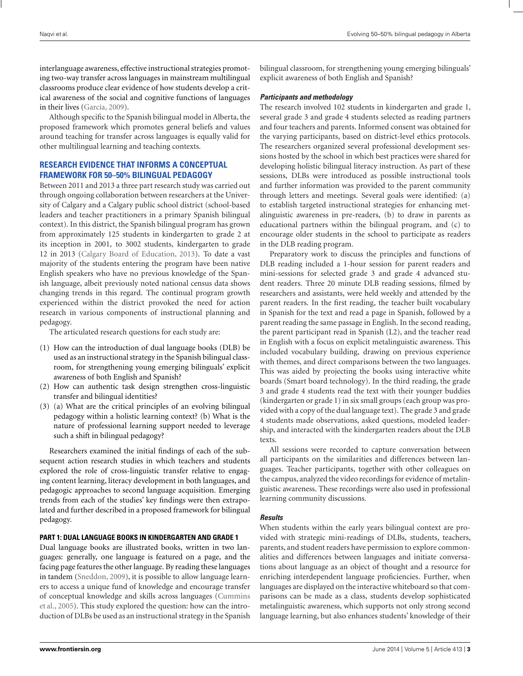interlanguage awareness, effective instructional strategies promoting two-way transfer across languages in mainstream multilingual classrooms produce clear evidence of how students develop a critical awareness of the social and cognitive functions of languages in their lives [\(García](#page-7-0), [2009](#page-7-0)).

Although specific to the Spanish bilingual model in Alberta, the proposed framework which promotes general beliefs and values around teaching for transfer across languages is equally valid for other multilingual learning and teaching contexts.

# **RESEARCH EVIDENCE THAT INFORMS A CONCEPTUAL FRAMEWORK FOR 50–50% BILINGUAL PEDAGOGY**

Between 2011 and 2013 a three part research study was carried out through ongoing collaboration between researchers at the University of Calgary and a Calgary public school district (school-based leaders and teacher practitioners in a primary Spanish bilingual context). In this district, the Spanish bilingual program has grown from approximately 125 students in kindergarten to grade 2 at its inception in 2001, to 3002 students, kindergarten to grade 12 in 2013 [\(Calgary Board of Education, 2013](#page-6-0)). To date a vast majority of the students entering the program have been native English speakers who have no previous knowledge of the Spanish language, albeit previously noted national census data shows changing trends in this regard. The continual program growth experienced within the district provoked the need for action research in various components of instructional planning and pedagogy.

The articulated research questions for each study are:

- (1) How can the introduction of dual language books (DLB) be used as an instructional strategy in the Spanish bilingual classroom, for strengthening young emerging bilinguals' explicit awareness of both English and Spanish?
- (2) How can authentic task design strengthen cross-linguistic transfer and bilingual identities?
- (3) (a) What are the critical principles of an evolving bilingual pedagogy within a holistic learning context? (b) What is the nature of professional learning support needed to leverage such a shift in bilingual pedagogy?

Researchers examined the initial findings of each of the subsequent action research studies in which teachers and students explored the role of cross-linguistic transfer relative to engaging content learning, literacy development in both languages, and pedagogic approaches to second language acquisition. Emerging trends from each of the studies' key findings were then extrapolated and further described in a proposed framework for bilingual pedagogy.

#### **PART 1: DUAL LANGUAGE BOOKS IN KINDERGARTEN AND GRADE 1**

Dual language books are illustrated books, written in two languages: generally, one language is featured on a page, and the facing page features the other language. By reading these languages in tandem [\(Sneddon](#page-7-0), [2009\)](#page-7-0), it is possible to allow language learners to access a unique fund of knowledge and encourage transfer of c[onceptual](#page-6-0) [knowledge](#page-6-0) [and](#page-6-0) [skills](#page-6-0) [across](#page-6-0) [languages](#page-6-0) [\(](#page-6-0)Cummins et al., [2005](#page-6-0)). This study explored the question: how can the introduction of DLBs be used as an instructional strategy in the Spanish bilingual classroom, for strengthening young emerging bilinguals' explicit awareness of both English and Spanish?

### *Participants and methodology*

The research involved 102 students in kindergarten and grade 1, several grade 3 and grade 4 students selected as reading partners and four teachers and parents. Informed consent was obtained for the varying participants, based on district-level ethics protocols. The researchers organized several professional development sessions hosted by the school in which best practices were shared for developing holistic bilingual literacy instruction. As part of these sessions, DLBs were introduced as possible instructional tools and further information was provided to the parent community through letters and meetings. Several goals were identified: (a) to establish targeted instructional strategies for enhancing metalinguistic awareness in pre-readers, (b) to draw in parents as educational partners within the bilingual program, and (c) to encourage older students in the school to participate as readers in the DLB reading program.

Preparatory work to discuss the principles and functions of DLB reading included a 1-hour session for parent readers and mini-sessions for selected grade 3 and grade 4 advanced student readers. Three 20 minute DLB reading sessions, filmed by researchers and assistants, were held weekly and attended by the parent readers. In the first reading, the teacher built vocabulary in Spanish for the text and read a page in Spanish, followed by a parent reading the same passage in English. In the second reading, the parent participant read in Spanish (L2), and the teacher read in English with a focus on explicit metalinguistic awareness. This included vocabulary building, drawing on previous experience with themes, and direct comparisons between the two languages. This was aided by projecting the books using interactive white boards (Smart board technology). In the third reading, the grade 3 and grade 4 students read the text with their younger buddies (kindergarten or grade 1) in six small groups (each group was provided with a copy of the dual language text). The grade 3 and grade 4 students made observations, asked questions, modeled leadership, and interacted with the kindergarten readers about the DLB texts.

All sessions were recorded to capture conversation between all participants on the similarities and differences between languages. Teacher participants, together with other colleagues on the campus, analyzed the video recordings for evidence of metalinguistic awareness. These recordings were also used in professional learning community discussions.

## *Results*

When students within the early years bilingual context are provided with strategic mini-readings of DLBs, students, teachers, parents, and student readers have permission to explore commonalities and differences between languages and initiate conversations about language as an object of thought and a resource for enriching interdependent language proficiencies. Further, when languages are displayed on the interactive whiteboard so that comparisons can be made as a class, students develop sophisticated metalinguistic awareness, which supports not only strong second language learning, but also enhances students' knowledge of their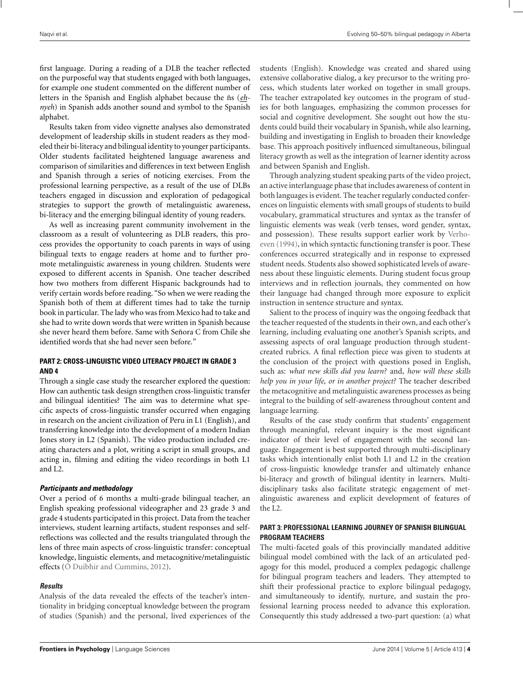first language. During a reading of a DLB the teacher reflected on the purposeful way that students engaged with both languages, for example one student commented on the different number of letters in the Spanish and English alphabet because the ñs (*ehnyeh*) in Spanish adds another sound and symbol to the Spanish alphabet.

Results taken from video vignette analyses also demonstrated development of leadership skills in student readers as they modeled their bi-literacy and bilingual identity to younger participants. Older students facilitated heightened language awareness and comparison of similarities and differences in text between English and Spanish through a series of noticing exercises. From the professional learning perspective, as a result of the use of DLBs teachers engaged in discussion and exploration of pedagogical strategies to support the growth of metalinguistic awareness, bi-literacy and the emerging bilingual identity of young readers.

As well as increasing parent community involvement in the classroom as a result of volunteering as DLB readers, this process provides the opportunity to coach parents in ways of using bilingual texts to engage readers at home and to further promote metalinguistic awareness in young children. Students were exposed to different accents in Spanish. One teacher described how two mothers from different Hispanic backgrounds had to verify certain words before reading. "So when we were reading the Spanish both of them at different times had to take the turnip book in particular. The lady who was from Mexico had to take and she had to write down words that were written in Spanish because she never heard them before. Same with Señora C from Chile she identified words that she had never seen before."

## **PART 2: CROSS-LINGUISTIC VIDEO LITERACY PROJECT IN GRADE 3 AND 4**

Through a single case study the researcher explored the question: How can authentic task design strengthen cross-linguistic transfer and bilingual identities? The aim was to determine what specific aspects of cross-linguistic transfer occurred when engaging in research on the ancient civilization of Peru in L1 (English), and transferring knowledge into the development of a modern Indian Jones story in L2 (Spanish). The video production included creating characters and a plot, writing a script in small groups, and acting in, filming and editing the video recordings in both L1 and L2.

## *Participants and methodology*

Over a period of 6 months a multi-grade bilingual teacher, an English speaking professional videographer and 23 grade 3 and grade 4 students participated in this project. Data from the teacher interviews, student learning artifacts, student responses and selfreflections was collected and the results triangulated through the lens of three main aspects of cross-linguistic transfer: conceptual knowledge, linguistic elements, and metacognitive/metalinguistic effects [\(Ó Duibhir and Cummins, 2012](#page-7-0)).

## *Results*

Analysis of the data revealed the effects of the teacher's intentionality in bridging conceptual knowledge between the program of studies (Spanish) and the personal, lived experiences of the students (English). Knowledge was created and shared using extensive collaborative dialog, a key precursor to the writing process, which students later worked on together in small groups. The teacher extrapolated key outcomes in the program of studies for both languages, emphasizing the common processes for social and cognitive development. She sought out how the students could build their vocabulary in Spanish, while also learning, building and investigating in English to broaden their knowledge base. This approach positively influenced simultaneous, bilingual literacy growth as well as the integration of learner identity across and between Spanish and English.

Through analyzing student speaking parts of the video project, an active interlanguage phase that includes awareness of content in both languages is evident. The teacher regularly conducted conferences on linguistic elements with small groups of students to build vocabulary, grammatical structures and syntax as the transfer of linguistic elements was weak (verb tenses, word gender, syntax, and [possession\).](#page-7-0) [These](#page-7-0) [results](#page-7-0) [support](#page-7-0) [earlier](#page-7-0) [work](#page-7-0) [by](#page-7-0) Verhoeven [\(1994](#page-7-0)), in which syntactic functioning transfer is poor. These conferences occurred strategically and in response to expressed student needs. Students also showed sophisticated levels of awareness about these linguistic elements. During student focus group interviews and in reflection journals, they commented on how their language had changed through more exposure to explicit instruction in sentence structure and syntax.

Salient to the process of inquiry was the ongoing feedback that the teacher requested of the students in their own, and each other's learning, including evaluating one another's Spanish scripts, and assessing aspects of oral language production through studentcreated rubrics. A final reflection piece was given to students at the conclusion of the project with questions posed in English, such as: *what new skills did you learn?* and, *how will these skills help you in your life, or in another project?* The teacher described the metacognitive and metalinguistic awareness processes as being integral to the building of self-awareness throughout content and language learning.

Results of the case study confirm that students' engagement through meaningful, relevant inquiry is the most significant indicator of their level of engagement with the second language. Engagement is best supported through multi-disciplinary tasks which intentionally enlist both L1 and L2 in the creation of cross-linguistic knowledge transfer and ultimately enhance bi-literacy and growth of bilingual identity in learners. Multidisciplinary tasks also facilitate strategic engagement of metalinguistic awareness and explicit development of features of the L2.

## **PART 3: PROFESSIONAL LEARNING JOURNEY OF SPANISH BILINGUAL PROGRAM TEACHERS**

The multi-faceted goals of this provincially mandated additive bilingual model combined with the lack of an articulated pedagogy for this model, produced a complex pedagogic challenge for bilingual program teachers and leaders. They attempted to shift their professional practice to explore bilingual pedagogy, and simultaneously to identify, nurture, and sustain the professional learning process needed to advance this exploration. Consequently this study addressed a two-part question: (a) what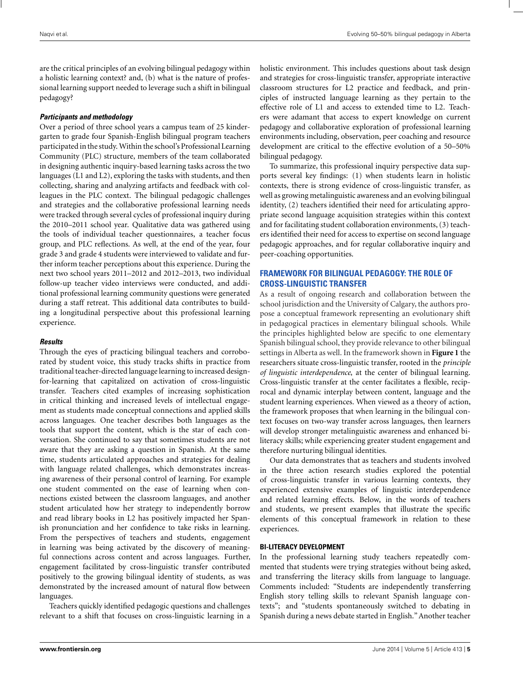are the critical principles of an evolving bilingual pedagogy within a holistic learning context? and, (b) what is the nature of professional learning support needed to leverage such a shift in bilingual pedagogy?

### *Participants and methodology*

Over a period of three school years a campus team of 25 kindergarten to grade four Spanish-English bilingual program teachers participated in the study.Within the school's Professional Learning Community (PLC) structure, members of the team collaborated in designing authentic inquiry-based learning tasks across the two languages (L1 and L2), exploring the tasks with students, and then collecting, sharing and analyzing artifacts and feedback with colleagues in the PLC context. The bilingual pedagogic challenges and strategies and the collaborative professional learning needs were tracked through several cycles of professional inquiry during the 2010–2011 school year. Qualitative data was gathered using the tools of individual teacher questionnaires, a teacher focus group, and PLC reflections. As well, at the end of the year, four grade 3 and grade 4 students were interviewed to validate and further inform teacher perceptions about this experience. During the next two school years 2011–2012 and 2012–2013, two individual follow-up teacher video interviews were conducted, and additional professional learning community questions were generated during a staff retreat. This additional data contributes to building a longitudinal perspective about this professional learning experience.

#### *Results*

Through the eyes of practicing bilingual teachers and corroborated by student voice, this study tracks shifts in practice from traditional teacher-directed language learning to increased designfor-learning that capitalized on activation of cross-linguistic transfer. Teachers cited examples of increasing sophistication in critical thinking and increased levels of intellectual engagement as students made conceptual connections and applied skills across languages. One teacher describes both languages as the tools that support the content, which is the star of each conversation. She continued to say that sometimes students are not aware that they are asking a question in Spanish. At the same time, students articulated approaches and strategies for dealing with language related challenges, which demonstrates increasing awareness of their personal control of learning. For example one student commented on the ease of learning when connections existed between the classroom languages, and another student articulated how her strategy to independently borrow and read library books in L2 has positively impacted her Spanish pronunciation and her confidence to take risks in learning. From the perspectives of teachers and students, engagement in learning was being activated by the discovery of meaningful connections across content and across languages. Further, engagement facilitated by cross-linguistic transfer contributed positively to the growing bilingual identity of students, as was demonstrated by the increased amount of natural flow between languages.

Teachers quickly identified pedagogic questions and challenges relevant to a shift that focuses on cross-linguistic learning in a holistic environment. This includes questions about task design and strategies for cross-linguistic transfer, appropriate interactive classroom structures for L2 practice and feedback, and principles of instructed language learning as they pertain to the effective role of L1 and access to extended time to L2. Teachers were adamant that access to expert knowledge on current pedagogy and collaborative exploration of professional learning environments including, observation, peer coaching and resource development are critical to the effective evolution of a 50–50% bilingual pedagogy.

To summarize, this professional inquiry perspective data supports several key findings: (1) when students learn in holistic contexts, there is strong evidence of cross-linguistic transfer, as well as growing metalinguistic awareness and an evolving bilingual identity, (2) teachers identified their need for articulating appropriate second language acquisition strategies within this context and for facilitating student collaboration environments, (3) teachers identified their need for access to expertise on second language pedagogic approaches, and for regular collaborative inquiry and peer-coaching opportunities.

# **FRAMEWORK FOR BILINGUAL PEDAGOGY: THE ROLE OF CROSS-LINGUISTIC TRANSFER**

As a result of ongoing research and collaboration between the school jurisdiction and the University of Calgary, the authors propose a conceptual framework representing an evolutionary shift in pedagogical practices in elementary bilingual schools. While the principles highlighted below are specific to one elementary Spanish bilingual school, they provide relevance to other bilingual settings in Alberta as well. In the framework shown in **[Figure 1](#page-5-0)** the researchers situate cross-linguistic transfer, rooted in the *principle of linguistic interdependence*, at the center of bilingual learning. Cross-linguistic transfer at the center facilitates a flexible, reciprocal and dynamic interplay between content, language and the student learning experiences. When viewed as a theory of action, the framework proposes that when learning in the bilingual context focuses on two-way transfer across languages, then learners will develop stronger metalinguistic awareness and enhanced biliteracy skills; while experiencing greater student engagement and therefore nurturing bilingual identities.

Our data demonstrates that as teachers and students involved in the three action research studies explored the potential of cross-linguistic transfer in various learning contexts, they experienced extensive examples of linguistic interdependence and related learning effects. Below, in the words of teachers and students, we present examples that illustrate the specific elements of this conceptual framework in relation to these experiences.

## **BI-LITERACY DEVELOPMENT**

In the professional learning study teachers repeatedly commented that students were trying strategies without being asked, and transferring the literacy skills from language to language. Comments included: "Students are independently transferring English story telling skills to relevant Spanish language contexts"; and "students spontaneously switched to debating in Spanish during a news debate started in English." Another teacher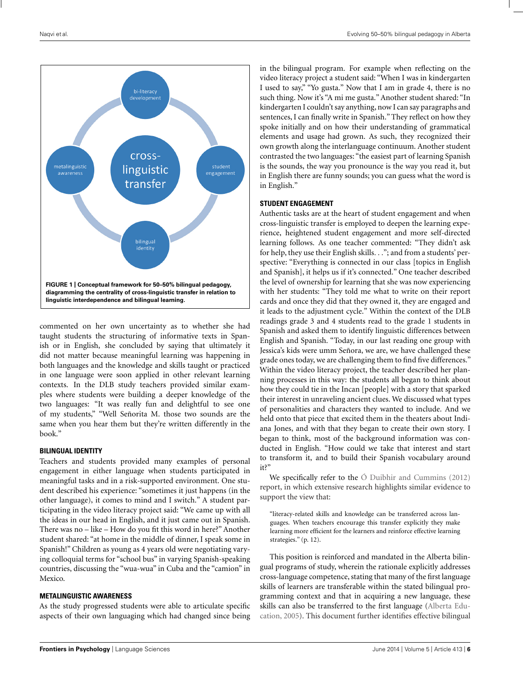<span id="page-5-0"></span>

commented on her own uncertainty as to whether she had taught students the structuring of informative texts in Spanish or in English, she concluded by saying that ultimately it did not matter because meaningful learning was happening in both languages and the knowledge and skills taught or practiced in one language were soon applied in other relevant learning contexts. In the DLB study teachers provided similar examples where students were building a deeper knowledge of the two languages: "It was really fun and delightful to see one of my students," "Well Señorita M. those two sounds are the same when you hear them but they're written differently in the book."

# **BILINGUAL IDENTITY**

Teachers and students provided many examples of personal engagement in either language when students participated in meaningful tasks and in a risk-supported environment. One student described his experience: "sometimes it just happens (in the other language), it comes to mind and I switch." A student participating in the video literacy project said: "We came up with all the ideas in our head in English, and it just came out in Spanish. There was no – like – How do you fit this word in here?" Another student shared: "at home in the middle of dinner, I speak some in Spanish!" Children as young as 4 years old were negotiating varying colloquial terms for "school bus" in varying Spanish-speaking countries, discussing the "wua-wua" in Cuba and the "camion" in Mexico.

# **METALINGUISTIC AWARENESS**

As the study progressed students were able to articulate specific aspects of their own languaging which had changed since being in the bilingual program. For example when reflecting on the video literacy project a student said: "When I was in kindergarten I used to say," "Yo gusta." Now that I am in grade 4, there is no such thing. Now it's "A mi me gusta." Another student shared: "In kindergarten I couldn't say anything, now I can say paragraphs and sentences, I can finally write in Spanish." They reflect on how they spoke initially and on how their understanding of grammatical elements and usage had grown. As such, they recognized their own growth along the interlanguage continuum. Another student contrasted the two languages: "the easiest part of learning Spanish is the sounds, the way you pronounce is the way you read it, but in English there are funny sounds; you can guess what the word is in English."

# **STUDENT ENGAGEMENT**

Authentic tasks are at the heart of student engagement and when cross-linguistic transfer is employed to deepen the learning experience, heightened student engagement and more self-directed learning follows. As one teacher commented: "They didn't ask for help, they use their English skills..."; and from a students' perspective: "Everything is connected in our class [topics in English and Spanish], it helps us if it's connected." One teacher described the level of ownership for learning that she was now experiencing with her students: "They told me what to write on their report cards and once they did that they owned it, they are engaged and it leads to the adjustment cycle." Within the context of the DLB readings grade 3 and 4 students read to the grade 1 students in Spanish and asked them to identify linguistic differences between English and Spanish. "Today, in our last reading one group with Jessica's kids were umm Señora, we are, we have challenged these grade ones today, we are challenging them to find five differences." Within the video literacy project, the teacher described her planning processes in this way: the students all began to think about how they could tie in the Incan [people] with a story that sparked their interest in unraveling ancient clues. We discussed what types of personalities and characters they wanted to include. And we held onto that piece that excited them in the theaters about Indiana Jones, and with that they began to create their own story. I began to think, most of the background information was conducted in English. "How could we take that interest and start to transform it, and to build their Spanish vocabulary around it?"

We specifically refer to the  $\acute{o}$  Duibhir and Cummins [\(2012](#page-7-0)) report, in which extensive research highlights similar evidence to support the view that:

"literacy-related skills and knowledge can be transferred across languages. When teachers encourage this transfer explicitly they make learning more efficient for the learners and reinforce effective learning strategies." (p. 12).

This position is reinforced and mandated in the Alberta bilingual programs of study, wherein the rationale explicitly addresses cross-language competence, stating that many of the first language skills of learners are transferable within the stated bilingual programming context and that in acquiring a new language, these skills [can also be transferred to the first language \(](#page-6-0)Alberta Education, [2005](#page-6-0)). This document further identifies effective bilingual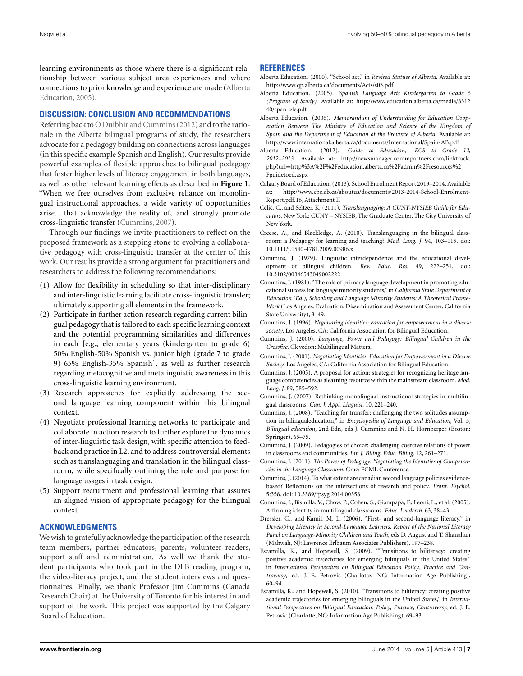<span id="page-6-0"></span>learning environments as those where there is a significant relationship between various subject area experiences and where connections to prior knowledge and experience are made (Alberta Education, 2005).

## **DISCUSSION: CONCLUSION AND RECOMMENDATIONS**

Referring back to [Ó Duibhir and Cummins](#page-7-0) [\(2012](#page-7-0)) and to the rationale in the Alberta bilingual programs of study, the researchers advocate for a pedagogy building on connections across languages (in this specific example Spanish and English). Our results provide powerful examples of flexible approaches to bilingual pedagogy that foster higher levels of literacy engagement in both languages, as well as other relevant learning effects as described in **[Figure 1](#page-5-0)**. "When we free ourselves from exclusive reliance on monolingual instructional approaches, a wide variety of opportunities arise...that acknowledge the reality of, and strongly promote cross-linguistic transfer (Cummins, 2007).

Through our findings we invite practitioners to reflect on the proposed framework as a stepping stone to evolving a collaborative pedagogy with cross-linguistic transfer at the center of this work. Our results provide a strong argument for practitioners and researchers to address the following recommendations:

- (1) Allow for flexibility in scheduling so that inter-disciplinary and inter-linguistic learning facilitate cross-linguistic transfer; ultimately supporting all elements in the framework.
- (2) Participate in further action research regarding current bilingual pedagogy that is tailored to each specific learning context and the potential programming similarities and differences in each [e.g., elementary years (kindergarten to grade 6) 50% English-50% Spanish vs. junior high (grade 7 to grade 9) 65% English-35% Spanish], as well as further research regarding metacognitive and metalinguistic awareness in this cross-linguistic learning environment.
- (3) Research approaches for explicitly addressing the second language learning component within this bilingual context.
- (4) Negotiate professional learning networks to participate and collaborate in action research to further explore the dynamics of inter-linguistic task design, with specific attention to feedback and practice in L2, and to address controversial elements such as translanguaging and translation in the bilingual classroom, while specifically outlining the role and purpose for language usages in task design.
- (5) Support recruitment and professional learning that assures an aligned vision of appropriate pedagogy for the bilingual context.

## **ACKNOWLEDGMENTS**

We wish to gratefully acknowledge the participation of the research team members, partner educators, parents, volunteer readers, support staff and administration. As well we thank the student participants who took part in the DLB reading program, the video-literacy project, and the student interviews and questionnaires. Finally, we thank Professor Jim Cummins (Canada Research Chair) at the University of Toronto for his interest in and support of the work. This project was supported by the Calgary Board of Education.

#### **REFERENCES**

- Alberta Education. (2000). "School act," in *Revised Statues of Alberta*. Available at: <http://www.qp.alberta.ca/documents/Acts/s03.pdf>
- Alberta Education. (2005). *Spanish Language Arts Kindergarten to Grade 6 (Program of Study)*. Available at: [http://www.education.alberta.ca/media/8312](http://www.education.alberta.ca/media/831240/span_ele.pdf) [40/span\\_ele.pdf](http://www.education.alberta.ca/media/831240/span_ele.pdf)
- Alberta Education. (2006). *Memorandum of Understanding for Education Cooperation Between The Ministry of Education and Science of the Kingdom of Spain and the Department of Education of the Province of Alberta*. Available at: <http://www.international.alberta.ca/documents/International/Spain-AB.pdf>
- Alberta Education. (2012). *Guide to Education, ECS to Grade 12, 2012–2013*. Available at: [http://newsmanager.commpartners.com/linktrack.](http://newsmanager.commpartners.com/linktrack.php?url=http%3A%2F%2Feducation.alberta.ca%2Fadmin%2Fresources%2Fguidetoed.aspx) php?url=[http%3A%2F%2Feducation.alberta.ca%2Fadmin%2Fresources%2](http://newsmanager.commpartners.com/linktrack.php?url=http%3A%2F%2Feducation.alberta.ca%2Fadmin%2Fresources%2Fguidetoed.aspx) [Fguidetoed.aspx](http://newsmanager.commpartners.com/linktrack.php?url=http%3A%2F%2Feducation.alberta.ca%2Fadmin%2Fresources%2Fguidetoed.aspx)
- Calgary Board of Education. (2013). School Enrolment Report 2013–2014. Available http://www.cbe.ab.ca/aboutus/documents/2013-2014-School-Enrolment-[Report.pdf.](http://www.cbe.ab.ca/aboutus/documents/2013-2014-School-Enrolment-Report.pdf)16, Attachment II
- Celic, C., and Seltzer, K. (2011). *Translanguaging: A CUNY-NYSIEB Guide for Educators.* New York: CUNY – NYSIEB, The Graduate Center, The City University of New York.
- Creese, A., and Blackledge, A. (2010). Translanguaging in the bilingual classroom: a Pedagogy for learning and teaching? *Mod. Lang. J.* 94, 103–115. doi: 10.1111/j.1540-4781.2009.00986.x
- Cummins, J. (1979). Linguistic interdependence and the educational development of bilingual children. *Rev. Educ. Res.* 49, 222–251. doi: 10.3102/00346543049002222
- Cummins, J. (1981). "The role of primary language development in promoting educational success for language minority students,"in *California State Department of Education (Ed.), Schooling and Language Minority Students: A Theoretical Frame-Work* (Los Angeles: Evaluation, Dissemination and Assessment Center, California State University), 3–49.
- Cummins, J. (1996). *Negotiating identities: education for empowerment in a diverse society*. Los Angeles, CA: California Association for Bilingual Education.
- Cummins, J. (2000). *Language, Power and Pedagogy: Bilingual Children in the Crossfire*. Clevedon: Multilingual Matters.
- Cummins, J. (2001). *Negotiating Identities: Education for Empowerment in a Diverse Society*. Los Angeles, CA: California Association for Bilingual Education.
- Cummins, J. (2005). A proposal for action; strategies for recognizing heritage language competencies as alearning resource within the mainstream classroom. *Mod. Lang. J.* 89, 585–592.
- Cummins, J. (2007). Rethinking monolingual instructional strategies in multilingual classrooms. *Can. J. Appl. Linguist.* 10, 221–240.
- Cummins, J. (2008). "Teaching for transfer: challenging the two solitudes assumption in bilingualeducation," in *Encyclopedia of Language and Education*, Vol. 5, *Bilingual education,* 2nd Edn, eds J. Cummins and N. H. Hornberger (Boston: Springer), 65–75.
- Cummins, J. (2009). Pedagogies of choice: challenging coercive relations of power in classrooms and communities. *Int. J. Biling. Educ. Biling.* 12, 261–271.
- Cummins, J. (2011). *The Power of Pedagogy: Negotiating the Identities of Competencies in the Language Classroom*. Graz: ECML Conference.
- Cummins, J. (2014). To what extent are canadian second language policies evidencebased? Reflections on the intersections of research and policy. *Front. Psychol.* 5:358. doi: 10.3389/fpsyg.2014.00358
- Cummins, J., Bismilla, V., Chow, P., Cohen, S., Giampapa, F., Leoni, L., et al. (2005). Affirming identity in multilingual classrooms. *Educ. Leadersh.* 63, 38–43.
- Dressler, C., and Kamil, M. L. (2006). "First- and second-language literacy," in *Developing Literacy in Second-Language Learners. Report of the National Literacy Panel on Language-Minority Children and Youth,* eds D. August and T. Shanahan (Mahwah, NJ: Lawrence Erlbaum Associates Publishers), 197–238.
- Escamilla, K., and Hopewell, S. (2009). "Transitions to biliteracy: creating positive academic trajectories for emerging bilinguals in the United States," in *International Perspectives on Bilingual Education Policy, Practice and Controversy*, ed. J. E. Petrovic (Charlotte, NC: Information Age Publishing), 60–94.
- Escamilla, K., and Hopewell, S. (2010). "Transitions to biliteracy: creating positive academic trajectories for emerging bilinguals in the United States," in *International Perspectives on Bilingual Education: Policy, Practice, Controversy*, ed. J. E. Petrovic (Charlotte, NC: Information Age Publishing), 69–93.